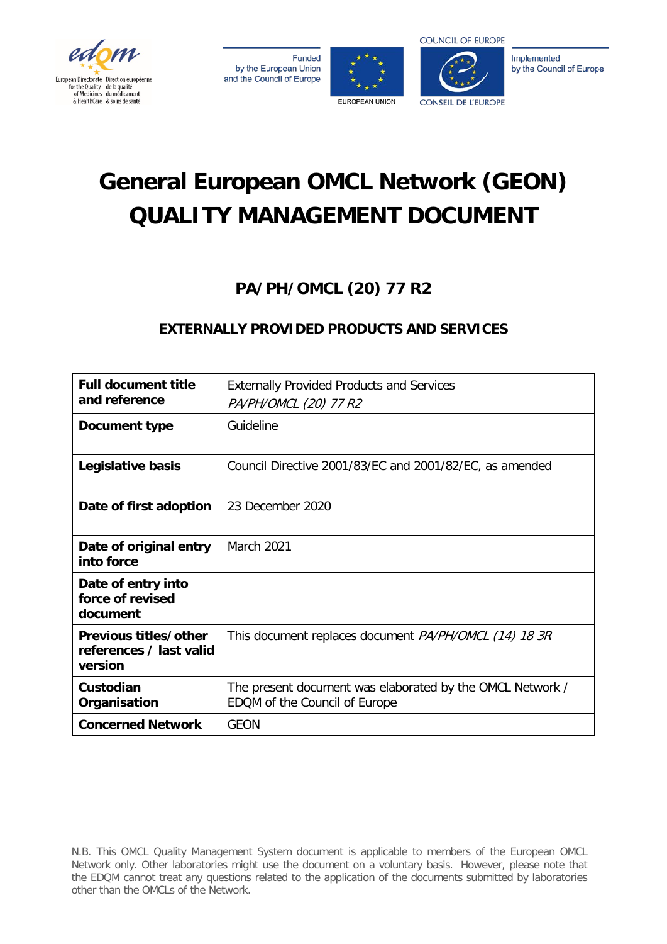







CONSEIL DE L'ELIROPE

Implemented by the Council of Europe

# **General European OMCL Network (GEON) QUALITY MANAGEMENT DOCUMENT**

## **PA/PH/OMCL (20) 77 R2**

### **EXTERNALLY PROVIDED PRODUCTS AND SERVICES**

| <b>Full document title</b><br>and reference                 | <b>Externally Provided Products and Services</b><br>PA/PH/OMCL (20) 77 R2                  |
|-------------------------------------------------------------|--------------------------------------------------------------------------------------------|
| Document type                                               | Guideline                                                                                  |
| Legislative basis                                           | Council Directive 2001/83/EC and 2001/82/EC, as amended                                    |
| Date of first adoption                                      | 23 December 2020                                                                           |
| Date of original entry<br>into force                        | March 2021                                                                                 |
| Date of entry into<br>force of revised<br>document          |                                                                                            |
| Previous titles/other<br>references / last valid<br>version | This document replaces document <i>PA/PH/OMCL (14) 18 3R</i>                               |
| Custodian<br>Organisation                                   | The present document was elaborated by the OMCL Network /<br>EDQM of the Council of Europe |
| <b>Concerned Network</b>                                    | <b>GEON</b>                                                                                |

N.B. This OMCL Quality Management System document is applicable to members of the European OMCL Network only. Other laboratories might use the document on a voluntary basis. However, please note that the EDQM cannot treat any questions related to the application of the documents submitted by laboratories other than the OMCLs of the Network.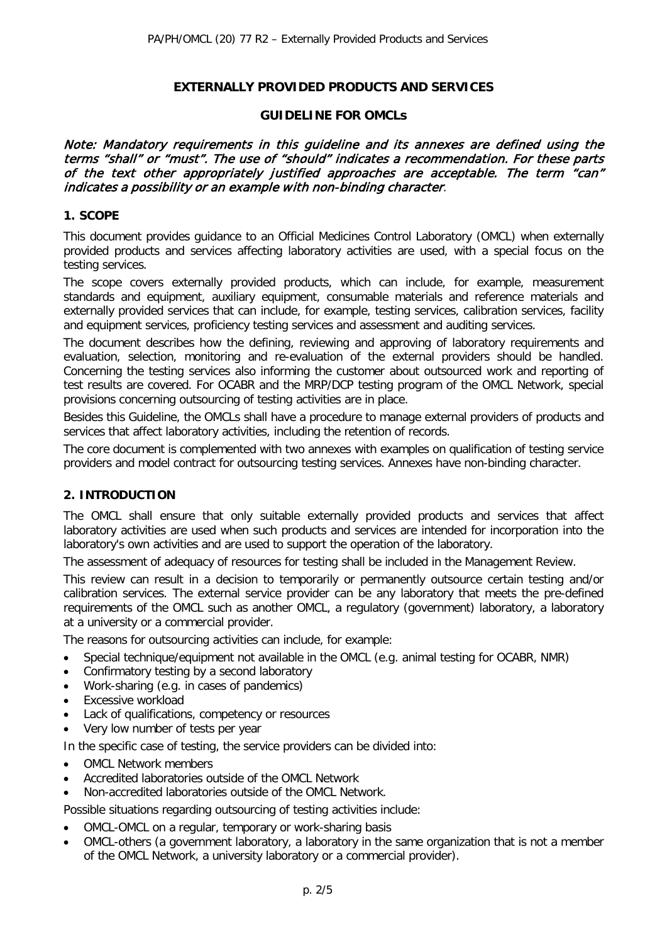#### **EXTERNALLY PROVIDED PRODUCTS AND SERVICES**

#### **GUIDELINE FOR OMCLs**

Note: Mandatory requirements in this guideline and its annexes are defined using the terms "shall" or "must". The use of "should" indicates a recommendation. For these parts of the text other appropriately justified approaches are acceptable. The term "can" indicates a possibility or an example with non-binding character.

#### **1. SCOPE**

This document provides guidance to an Official Medicines Control Laboratory (OMCL) when externally provided products and services affecting laboratory activities are used, with a special focus on the testing services.

The scope covers externally provided products, which can include, for example, measurement standards and equipment, auxiliary equipment, consumable materials and reference materials and externally provided services that can include, for example, testing services, calibration services, facility and equipment services, proficiency testing services and assessment and auditing services.

The document describes how the defining, reviewing and approving of laboratory requirements and evaluation, selection, monitoring and re-evaluation of the external providers should be handled. Concerning the testing services also informing the customer about outsourced work and reporting of test results are covered. For OCABR and the MRP/DCP testing program of the OMCL Network, special provisions concerning outsourcing of testing activities are in place.

Besides this Guideline, the OMCLs shall have a procedure to manage external providers of products and services that affect laboratory activities, including the retention of records.

The core document is complemented with two annexes with examples on qualification of testing service providers and model contract for outsourcing testing services. Annexes have non-binding character.

#### **2. INTRODUCTION**

The OMCL shall ensure that only suitable externally provided products and services that affect laboratory activities are used when such products and services are intended for incorporation into the laboratory's own activities and are used to support the operation of the laboratory.

The assessment of adequacy of resources for testing shall be included in the Management Review.

This review can result in a decision to temporarily or permanently outsource certain testing and/or calibration services. The external service provider can be any laboratory that meets the pre-defined requirements of the OMCL such as another OMCL, a regulatory (government) laboratory, a laboratory at a university or a commercial provider.

The reasons for outsourcing activities can include, for example:

- Special technique/equipment not available in the OMCL (e.g. animal testing for OCABR, NMR)
- Confirmatory testing by a second laboratory
- Work-sharing (e.g. in cases of pandemics)
- Excessive workload
- Lack of qualifications, competency or resources
- Very low number of tests per year

In the specific case of testing, the service providers can be divided into:

- OMCL Network members
- Accredited laboratories outside of the OMCL Network
- Non-accredited laboratories outside of the OMCL Network.

Possible situations regarding outsourcing of testing activities include:

- OMCL-OMCL on a regular, temporary or work-sharing basis
- OMCL-others (a government laboratory, a laboratory in the same organization that is not a member of the OMCL Network, a university laboratory or a commercial provider).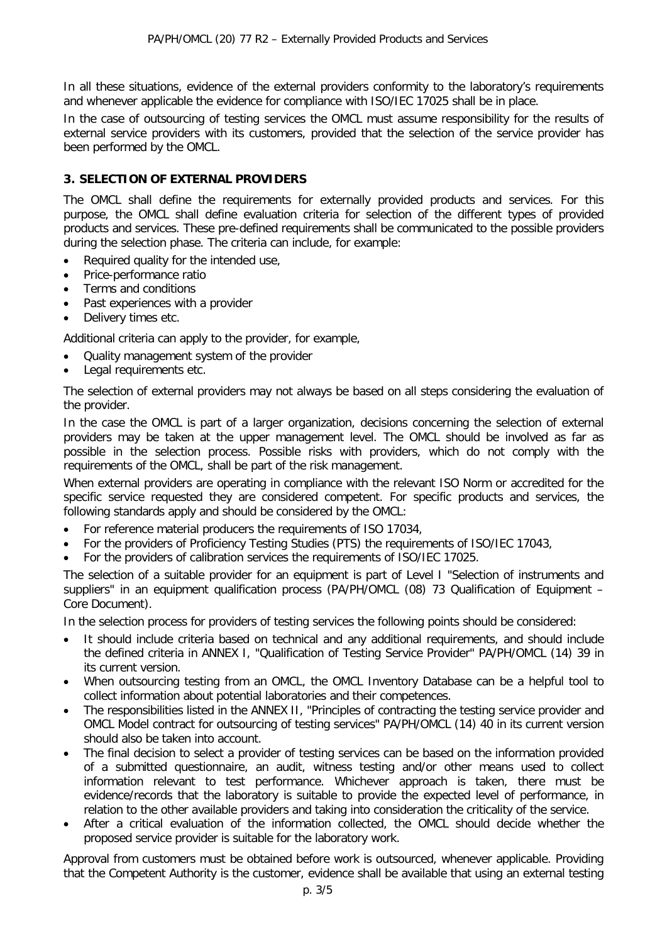In all these situations, evidence of the external providers conformity to the laboratory's requirements and whenever applicable the evidence for compliance with ISO/IEC 17025 shall be in place.

In the case of outsourcing of testing services the OMCL must assume responsibility for the results of external service providers with its customers, provided that the selection of the service provider has been performed by the OMCL.

#### **3. SELECTION OF EXTERNAL PROVIDERS**

The OMCL shall define the requirements for externally provided products and services. For this purpose, the OMCL shall define evaluation criteria for selection of the different types of provided products and services. These pre-defined requirements shall be communicated to the possible providers during the selection phase. The criteria can include, for example:

- Required quality for the intended use,
- Price-performance ratio
- Terms and conditions
- Past experiences with a provider
- Delivery times etc.

Additional criteria can apply to the provider, for example,

- Quality management system of the provider
- Legal requirements etc.

The selection of external providers may not always be based on all steps considering the evaluation of the provider.

In the case the OMCL is part of a larger organization, decisions concerning the selection of external providers may be taken at the upper management level. The OMCL should be involved as far as possible in the selection process. Possible risks with providers, which do not comply with the requirements of the OMCL, shall be part of the risk management.

When external providers are operating in compliance with the relevant ISO Norm or accredited for the specific service requested they are considered competent. For specific products and services, the following standards apply and should be considered by the OMCL:

- For reference material producers the requirements of ISO 17034,
- For the providers of Proficiency Testing Studies (PTS) the requirements of ISO/IEC 17043,
- For the providers of calibration services the requirements of ISO/IEC 17025.

The selection of a suitable provider for an equipment is part of Level I "Selection of instruments and suppliers" in an equipment qualification process (PA/PH/OMCL (08) 73 Qualification of Equipment – Core Document).

In the selection process for providers of testing services the following points should be considered:

- It should include criteria based on technical and any additional requirements, and should include the defined criteria in ANNEX I, "Qualification of Testing Service Provider" PA/PH/OMCL (14) 39 in its current version.
- When outsourcing testing from an OMCL, the OMCL Inventory Database can be a helpful tool to collect information about potential laboratories and their competences.
- The responsibilities listed in the ANNEX II, "Principles of contracting the testing service provider and OMCL Model contract for outsourcing of testing services" PA/PH/OMCL (14) 40 in its current version should also be taken into account.
- The final decision to select a provider of testing services can be based on the information provided of a submitted questionnaire, an audit, witness testing and/or other means used to collect information relevant to test performance. Whichever approach is taken, there must be evidence/records that the laboratory is suitable to provide the expected level of performance, in relation to the other available providers and taking into consideration the criticality of the service.
- After a critical evaluation of the information collected, the OMCL should decide whether the proposed service provider is suitable for the laboratory work.

Approval from customers must be obtained before work is outsourced, whenever applicable. Providing that the Competent Authority is the customer, evidence shall be available that using an external testing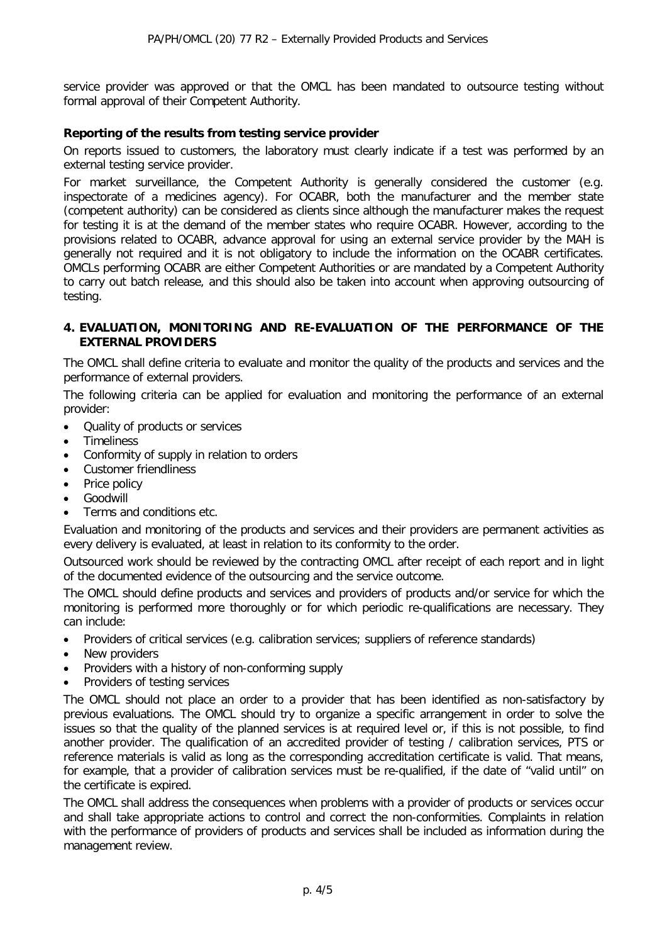service provider was approved or that the OMCL has been mandated to outsource testing without formal approval of their Competent Authority.

#### **Reporting of the results from testing service provider**

On reports issued to customers, the laboratory must clearly indicate if a test was performed by an external testing service provider.

For market surveillance, the Competent Authority is generally considered the customer (e.g. inspectorate of a medicines agency). For OCABR, both the manufacturer and the member state (competent authority) can be considered as clients since although the manufacturer makes the request for testing it is at the demand of the member states who require OCABR. However, according to the provisions related to OCABR, advance approval for using an external service provider by the MAH is generally not required and it is not obligatory to include the information on the OCABR certificates. OMCLs performing OCABR are either Competent Authorities or are mandated by a Competent Authority to carry out batch release, and this should also be taken into account when approving outsourcing of testing.

#### **4. EVALUATION, MONITORING AND RE-EVALUATION OF THE PERFORMANCE OF THE EXTERNAL PROVIDERS**

The OMCL shall define criteria to evaluate and monitor the quality of the products and services and the performance of external providers.

The following criteria can be applied for evaluation and monitoring the performance of an external provider:

- Quality of products or services
- **Timeliness**
- Conformity of supply in relation to orders
- Customer friendliness
- Price policy
- **Goodwill**
- Terms and conditions etc.

Evaluation and monitoring of the products and services and their providers are permanent activities as every delivery is evaluated, at least in relation to its conformity to the order.

Outsourced work should be reviewed by the contracting OMCL after receipt of each report and in light of the documented evidence of the outsourcing and the service outcome.

The OMCL should define products and services and providers of products and/or service for which the monitoring is performed more thoroughly or for which periodic re-qualifications are necessary. They can include:

- Providers of critical services (e.g. calibration services; suppliers of reference standards)
- New providers
- Providers with a history of non-conforming supply
- Providers of testing services

The OMCL should not place an order to a provider that has been identified as non-satisfactory by previous evaluations. The OMCL should try to organize a specific arrangement in order to solve the issues so that the quality of the planned services is at required level or, if this is not possible, to find another provider. The qualification of an accredited provider of testing / calibration services, PTS or reference materials is valid as long as the corresponding accreditation certificate is valid. That means, for example, that a provider of calibration services must be re-qualified, if the date of "valid until" on the certificate is expired.

The OMCL shall address the consequences when problems with a provider of products or services occur and shall take appropriate actions to control and correct the non-conformities. Complaints in relation with the performance of providers of products and services shall be included as information during the management review.